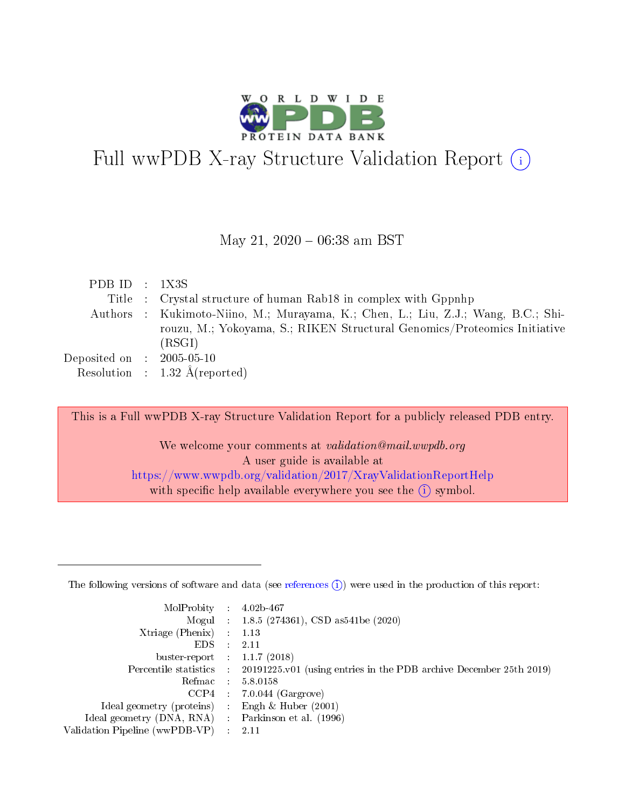

# Full wwPDB X-ray Structure Validation Report  $(i)$

#### May 21,  $2020 - 06:38$  am BST

| PDB ID : $1X3S$               |                                                                                   |
|-------------------------------|-----------------------------------------------------------------------------------|
|                               | Title : Crystal structure of human Rab18 in complex with Gppnhp                   |
|                               | Authors : Kukimoto-Niino, M.; Murayama, K.; Chen, L.; Liu, Z.J.; Wang, B.C.; Shi- |
|                               | rouzu, M.; Yokoyama, S.; RIKEN Structural Genomics/Proteomics Initiative          |
|                               | (RSGI)                                                                            |
| $Deposited on$ : $2005-05-10$ |                                                                                   |
|                               | Resolution : $1.32 \text{ Å}$ (reported)                                          |

This is a Full wwPDB X-ray Structure Validation Report for a publicly released PDB entry. We welcome your comments at validation@mail.wwpdb.org A user guide is available at <https://www.wwpdb.org/validation/2017/XrayValidationReportHelp> with specific help available everywhere you see the  $(i)$  symbol.

The following versions of software and data (see [references](https://www.wwpdb.org/validation/2017/XrayValidationReportHelp#references)  $(1)$ ) were used in the production of this report:

| MolProbity :                   |               | $4.02b - 467$                                                                |
|--------------------------------|---------------|------------------------------------------------------------------------------|
|                                |               | Mogul : $1.8.5$ (274361), CSD as 541be (2020)                                |
| Xtriage (Phenix)               | $\mathcal{L}$ | 1.13                                                                         |
| EDS.                           |               | 2.11                                                                         |
| buster-report : $1.1.7$ (2018) |               |                                                                              |
| Percentile statistics :        |               | $20191225 \text{ v}01$ (using entries in the PDB archive December 25th 2019) |
| Refmac :                       |               | 5.8.0158                                                                     |
| CCP4                           |               | $7.0.044$ (Gargrove)                                                         |
| Ideal geometry (proteins) :    |               | Engh $\&$ Huber (2001)                                                       |
| Ideal geometry (DNA, RNA) :    |               | Parkinson et al. (1996)                                                      |
| Validation Pipeline (wwPDB-VP) | $\mathcal{L}$ | 2.11                                                                         |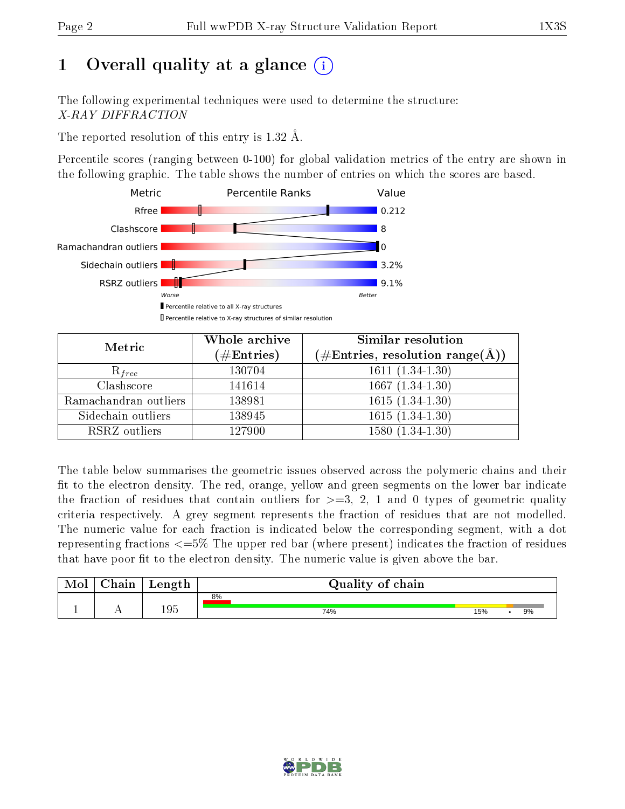# 1 [O](https://www.wwpdb.org/validation/2017/XrayValidationReportHelp#overall_quality)verall quality at a glance  $(i)$

The following experimental techniques were used to determine the structure: X-RAY DIFFRACTION

The reported resolution of this entry is 1.32 Å.

Percentile scores (ranging between 0-100) for global validation metrics of the entry are shown in the following graphic. The table shows the number of entries on which the scores are based.



| Metric                | Whole archive<br>$(\#\text{Entries})$ | Similar resolution<br>$(\#\text{Entries}, \text{resolution range}(\text{\AA}))$ |
|-----------------------|---------------------------------------|---------------------------------------------------------------------------------|
| $R_{free}$            | 130704                                | $1611(1.34-1.30)$                                                               |
| Clashscore            | 141614                                | $1667(1.34-1.30)$                                                               |
| Ramachandran outliers | 138981                                | $1615(1.34-1.30)$                                                               |
| Sidechain outliers    | 138945                                | $1615(1.34-1.30)$                                                               |
| RSRZ outliers         | 127900                                | $1580(1.34-1.30)$                                                               |

The table below summarises the geometric issues observed across the polymeric chains and their fit to the electron density. The red, orange, yellow and green segments on the lower bar indicate the fraction of residues that contain outliers for  $>=3, 2, 1$  and 0 types of geometric quality criteria respectively. A grey segment represents the fraction of residues that are not modelled. The numeric value for each fraction is indicated below the corresponding segment, with a dot representing fractions <=5% The upper red bar (where present) indicates the fraction of residues that have poor fit to the electron density. The numeric value is given above the bar.

| Mol           | $\gamma$ hain | Length | Quality of chain |     |    |
|---------------|---------------|--------|------------------|-----|----|
|               |               |        | 8%               |     |    |
| <u>. на п</u> | . .           | 195    | 74%              | 15% | 9% |

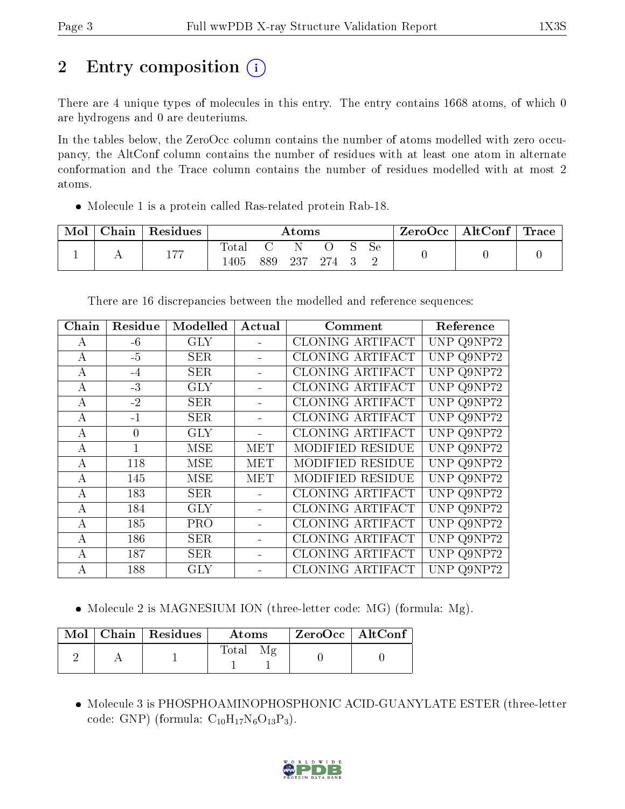# 2 Entry composition (i)

There are 4 unique types of molecules in this entry. The entry contains 1668 atoms, of which 0 are hydrogens and 0 are deuteriums.

In the tables below, the ZeroOcc column contains the number of atoms modelled with zero occupancy, the AltConf column contains the number of residues with at least one atom in alternate conformation and the Trace column contains the number of residues modelled with at most 2 atoms.

Molecule 1 is a protein called Ras-related protein Rab-18.

| $\cap$ hain | Residues                       | Atoms               |     |      |  |  |    | ZeroOcc | AltConf | Trace |
|-------------|--------------------------------|---------------------|-----|------|--|--|----|---------|---------|-------|
|             | . 1 <del>. 7</del> 1.<br>1 I I | $\rm Total$<br>.405 | 889 | -237 |  |  | Sе |         |         |       |

There are 16 discrepancies between the modelled and reference sequences:

| Chain    | Residue      | Modelled   | Actual | Comment                 | Reference                       |
|----------|--------------|------------|--------|-------------------------|---------------------------------|
| A        | $-6$         | <b>GLY</b> |        | CLONING ARTIFACT        | UNP Q9NP72                      |
| А        | $-5$         | <b>SER</b> |        | <b>CLONING ARTIFACT</b> | UNP Q9NP72                      |
| А        | $-4$         | <b>SER</b> |        | <b>CLONING ARTIFACT</b> | UNP Q9NP72                      |
| А        | $-3$         | <b>GLY</b> |        | CLONING ARTIFACT        | UNP Q9NP72                      |
| $\bf{A}$ | $-2$         | <b>SER</b> |        | <b>CLONING ARTIFACT</b> | UNP Q9NP72                      |
| $\bf{A}$ | $-1$         | <b>SER</b> |        | <b>CLONING ARTIFACT</b> | UNP Q9NP72                      |
| $\bf{A}$ | $\theta$     | <b>GLY</b> |        | <b>CLONING ARTIFACT</b> | UNP Q9NP72                      |
| А        | $\mathbf{1}$ | <b>MSE</b> | MET    | MODIFIED RESIDUE        | UNP Q9NP72                      |
| A        | 118          | <b>MSE</b> | MET    | MODIFIED RESIDUE        | UNP Q9NP72                      |
| A        | 145          | <b>MSE</b> | MET    | MODIFIED RESIDUE        | UNP Q9NP72                      |
| $\bf{A}$ | 183          | <b>SER</b> |        | <b>CLONING ARTIFACT</b> | UNP Q9NP72                      |
| $\bf{A}$ | 184          | <b>GLY</b> |        | <b>CLONING ARTIFACT</b> | $\overline{\text{UNP Q}}$ 9NP72 |
| A        | 185          | <b>PRO</b> |        | CLONING ARTIFACT        | UNP Q9NP72                      |
| A        | 186          | <b>SER</b> |        | <b>CLONING ARTIFACT</b> | UNP Q9NP72                      |
| А        | 187          | <b>SER</b> |        | CLONING ARTIFACT        | UNP Q9NP72                      |
| А        | 188          | <b>GLY</b> |        | CLONING ARTIFACT        | Q9NP72<br>UNP-                  |

• Molecule 2 is MAGNESIUM ION (three-letter code: MG) (formula: Mg).

|  | $\text{Mol}$   Chain   Residues | Atoms | $\,$ ZeroOcc   AltConf |  |
|--|---------------------------------|-------|------------------------|--|
|  |                                 | Total |                        |  |

 Molecule 3 is PHOSPHOAMINOPHOSPHONIC ACID-GUANYLATE ESTER (three-letter code: GNP) (formula:  $C_{10}H_{17}N_6O_{13}P_3$ ).

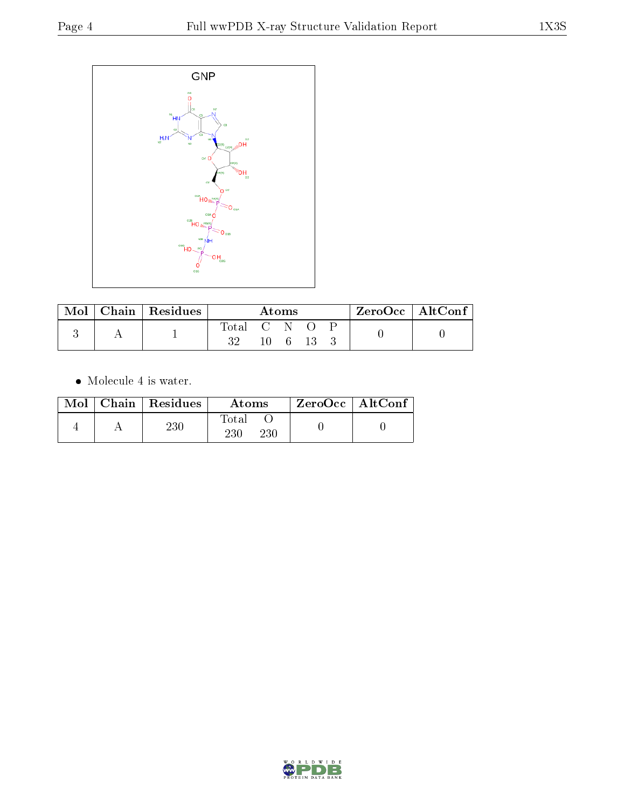

| $\operatorname{Mol}$ | Chain Residues | Atoms       |  |                         |  | $ZeroOcc \mid AltConf \mid$ |  |
|----------------------|----------------|-------------|--|-------------------------|--|-----------------------------|--|
|                      |                | Total<br>າາ |  | $\mathbf C = \mathbf N$ |  |                             |  |

 $\bullet\,$  Molecule 4 is water.

| Mol | Chain   Residues | Atoms               | ZeroOcc   AltConf |
|-----|------------------|---------------------|-------------------|
|     | 230              | Total<br>230<br>230 |                   |

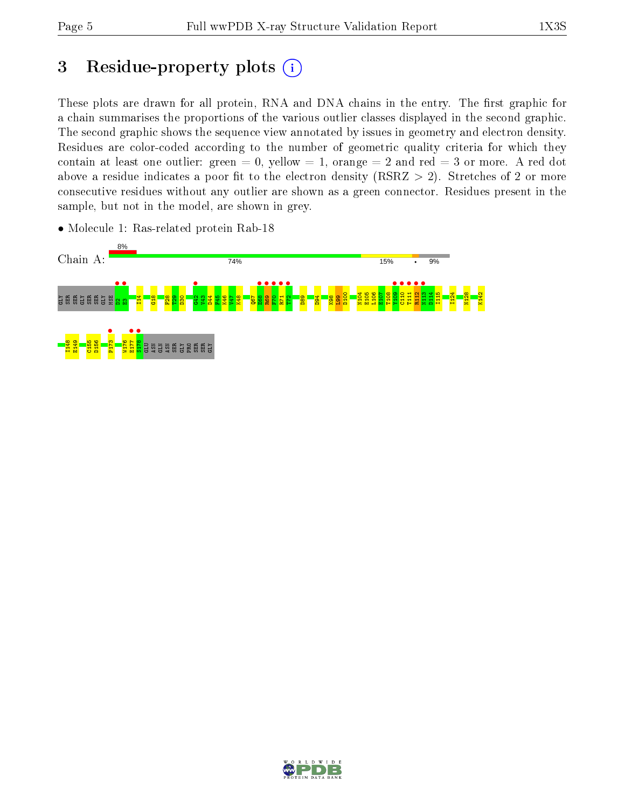# 3 Residue-property plots  $(i)$

These plots are drawn for all protein, RNA and DNA chains in the entry. The first graphic for a chain summarises the proportions of the various outlier classes displayed in the second graphic. The second graphic shows the sequence view annotated by issues in geometry and electron density. Residues are color-coded according to the number of geometric quality criteria for which they contain at least one outlier: green  $= 0$ , yellow  $= 1$ , orange  $= 2$  and red  $= 3$  or more. A red dot above a residue indicates a poor fit to the electron density (RSRZ  $> 2$ ). Stretches of 2 or more consecutive residues without any outlier are shown as a green connector. Residues present in the sample, but not in the model, are shown in grey.



• Molecule 1: Ras-related protein Rab-18

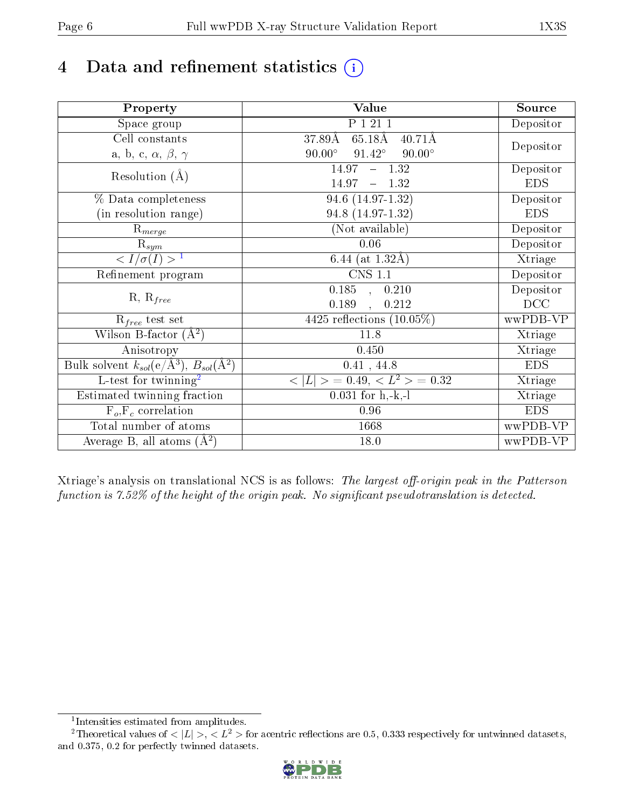# 4 Data and refinement statistics  $(i)$

| Property                                                             | Value                                            | Source     |
|----------------------------------------------------------------------|--------------------------------------------------|------------|
| Space group                                                          | P 1 21 1                                         | Depositor  |
| Cell constants                                                       | $65.18\text{\AA}$<br>37.89Å<br>$40.71\text{\AA}$ |            |
| a, b, c, $\alpha$ , $\beta$ , $\gamma$                               | $91.42^\circ$<br>$90.00^\circ$<br>$90.00^\circ$  | Depositor  |
| Resolution $(A)$                                                     | $-1.32$<br>14.97                                 | Depositor  |
|                                                                      | 14.97<br>$-1.32$                                 | <b>EDS</b> |
| % Data completeness                                                  | $94.6(14.97-1.32)$                               | Depositor  |
| (in resolution range)                                                | 94.8 (14.97-1.32)                                | <b>EDS</b> |
| $R_{merge}$                                                          | (Not available)                                  | Depositor  |
| $\mathrm{R}_{sym}$                                                   | 0.06                                             | Depositor  |
| $\langle I/\sigma(I) \rangle$ <sup>1</sup>                           | 6.44 (at $1.32\text{\AA}$ )                      | Xtriage    |
| Refinement program                                                   | $\overline{\text{CNS} 1.1}$                      | Depositor  |
|                                                                      | $0.185$ , $0.210$                                | Depositor  |
| $R, R_{free}$                                                        | 0.189<br>0.212<br>$\mathcal{L}$                  | DCC        |
| $R_{free}$ test set                                                  | 4425 reflections $(10.05\%)$                     | wwPDB-VP   |
| Wilson B-factor $(A^2)$                                              | 11.8                                             | Xtriage    |
| Anisotropy                                                           | 0.450                                            | Xtriage    |
| Bulk solvent $k_{sol}(e/\mathring{A}^3)$ , $B_{sol}(\mathring{A}^2)$ | 0.41, 44.8                                       | <b>EDS</b> |
| $L$ -test for twinning <sup>2</sup>                                  | $< L >$ = 0.49, $< L2$ = 0.32                    | Xtriage    |
| Estimated twinning fraction                                          | $0.031$ for h,-k,-l                              | Xtriage    |
| $F_o, F_c$ correlation                                               | 0.96                                             | <b>EDS</b> |
| Total number of atoms                                                | 1668                                             | wwPDB-VP   |
| Average B, all atoms $(A^2)$                                         | 18.0                                             | wwPDB-VP   |

Xtriage's analysis on translational NCS is as follows: The largest off-origin peak in the Patterson function is  $7.52\%$  of the height of the origin peak. No significant pseudotranslation is detected.

<sup>&</sup>lt;sup>2</sup>Theoretical values of  $\langle |L| \rangle$ ,  $\langle L^2 \rangle$  for acentric reflections are 0.5, 0.333 respectively for untwinned datasets, and 0.375, 0.2 for perfectly twinned datasets.



<span id="page-5-1"></span><span id="page-5-0"></span><sup>1</sup> Intensities estimated from amplitudes.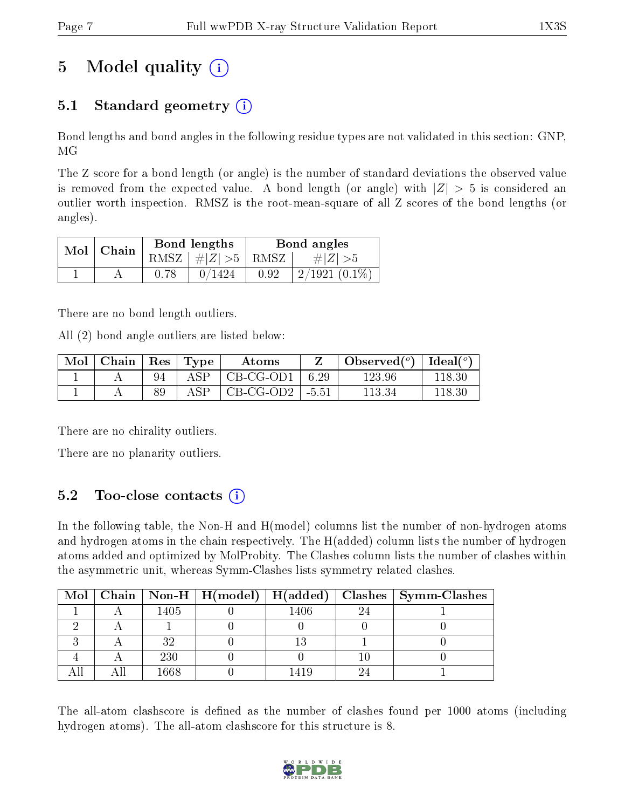# 5 Model quality  $(i)$

## 5.1 Standard geometry  $(i)$

Bond lengths and bond angles in the following residue types are not validated in this section: GNP, MG

The Z score for a bond length (or angle) is the number of standard deviations the observed value is removed from the expected value. A bond length (or angle) with  $|Z| > 5$  is considered an outlier worth inspection. RMSZ is the root-mean-square of all Z scores of the bond lengths (or angles).

| $Mol$   Chain |      | Bond lengths                   | Bond angles |                 |  |
|---------------|------|--------------------------------|-------------|-----------------|--|
|               |      | RMSZ $\mid \#Z \mid >5$   RMSZ |             | $\# Z  > 5$     |  |
|               | 0.78 | 0/1424                         | 0.92        | $2/1921(0.1\%)$ |  |

There are no bond length outliers.

All (2) bond angle outliers are listed below:

| $\text{Mol}$ | Chain |    | $\vert$ Res $\vert$ Type | Atoms                     |         | Observed $(^\circ)$ | $\text{Ideal}({}^o)$ |
|--------------|-------|----|--------------------------|---------------------------|---------|---------------------|----------------------|
|              |       | 94 | ASP.                     | $\vert$ CB-CG-OD1 $\vert$ | $+6.29$ | 123.96              | 118.30               |
|              |       |    | ASP                      | CB-CG-OD2   -5.51         |         | 113.34              | 118.30               |

There are no chirality outliers.

There are no planarity outliers.

### 5.2 Too-close contacts  $(i)$

In the following table, the Non-H and H(model) columns list the number of non-hydrogen atoms and hydrogen atoms in the chain respectively. The H(added) column lists the number of hydrogen atoms added and optimized by MolProbity. The Clashes column lists the number of clashes within the asymmetric unit, whereas Symm-Clashes lists symmetry related clashes.

|  |      |             | Mol   Chain   Non-H   H(model)   H(added)   Clashes   Symm-Clashes |
|--|------|-------------|--------------------------------------------------------------------|
|  | 1405 | 1406        |                                                                    |
|  |      |             |                                                                    |
|  |      |             |                                                                    |
|  | 230  |             |                                                                    |
|  | 1668 | $\Delta$ 19 |                                                                    |

The all-atom clashscore is defined as the number of clashes found per 1000 atoms (including hydrogen atoms). The all-atom clashscore for this structure is 8.

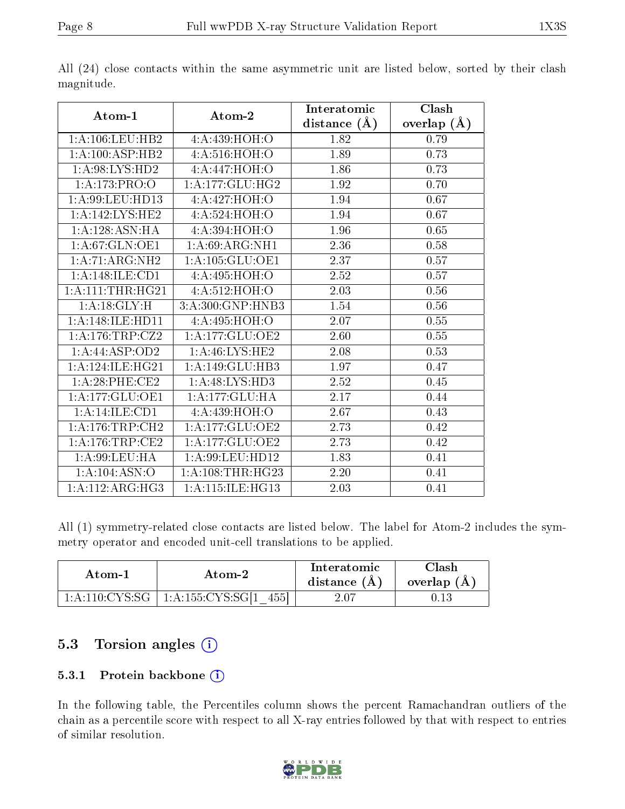|                     |                               | Interatomic    | Clash         |
|---------------------|-------------------------------|----------------|---------------|
| Atom-1              | Atom-2                        | distance $(A)$ | overlap $(A)$ |
| 1: A: 106: LEU: HB2 | 4: A:439:HOH:O                | 1.82           | 0.79          |
| 1:A:100:ASP:HB2     | 4: A:516:HOH:O                | 1.89           | 0.73          |
| 1: A:98: LYS: HD2   | 4: A:447:HOH:O                | 1.86           | 0.73          |
| 1: A: 173: PRO: O   | 1:A:177:GLU:HG2               | 1.92           | 0.70          |
| 1: A:99: LEU: HD13  | 4:A:427:HOH:O                 | 1.94           | 0.67          |
| 1:A:142:LYS:HE2     | 4:A:524:HOH:O                 | 1.94           | 0.67          |
| 1:A:128:ASN:HA      | 4: A:394:HOH:O                | 1.96           | 0.65          |
| 1: A:67: GLN:OE1    | 1: A:69: ARG: NH1             | 2.36           | 0.58          |
| 1: A:71: ARG: NH2   | 1:A:105:GLU:OE1               | 2.37           | 0.57          |
| 1:A:148:ILE:CD1     | 4: A:495: HOH:O               | 2.52           | 0.57          |
| 1: A:111:THR:HG21   | 4: A:512: HOH:O               | 2.03           | 0.56          |
| 1:A:18:GLY:H        | $3:A:300:G\overline{NP:HNB3}$ | 1.54           | 0.56          |
| 1:A:148:ILE:HD11    | 4:A:495:HOH:O                 | 2.07           | 0.55          |
| 1:A:176:TRP:CZ2     | 1:A:177:GLU:OE2               | 2.60           | 0.55          |
| 1:A:44:ASP:OD2      | 1: A:46: LYS: HE2             | 2.08           | 0.53          |
| 1:A:124:ILE:HG21    | 1:A:149:GLU:HB3               | 1.97           | 0.47          |
| 1:A:28:PHE:CE2      | 1:A:48:LYS:HD3                | 2.52           | 0.45          |
| 1:A:177:GLU:OE1     | 1:A:177:GLU:HA                | 2.17           | 0.44          |
| 1:A:14:ILE:CD1      | 4: A: 439: HOH:O              | 2.67           | 0.43          |
| 1:A:176:TRP:CH2     | 1:A:177:GLU:OE2               | 2.73           | 0.42          |
| 1: A:176:TRP:CE2    | 1:A:177:GLU:OE2               | 2.73           | 0.42          |
| 1: A:99: LEU: HA    | 1: A:99: LEU: HD12            | 1.83           | 0.41          |
| 1:A:104:ASN:O       | 1: A:108:THR:HG23             | 2.20           | 0.41          |
| 1:A:112:ARG:HG3     | 1: A:115: ILE: HG13           | 2.03           | 0.41          |

All (24) close contacts within the same asymmetric unit are listed below, sorted by their clash magnitude.

All (1) symmetry-related close contacts are listed below. The label for Atom-2 includes the symmetry operator and encoded unit-cell translations to be applied.

| Atom-1 | Atom-2                                  |      | ≅lash ≡<br>overlap $(A)$ |
|--------|-----------------------------------------|------|--------------------------|
|        | $1:A:110:CYS:SG \mid 1:A:155:CYS:SG[1]$ | 2.07 |                          |

## 5.3 Torsion angles  $(i)$

#### 5.3.1 Protein backbone (i)

In the following table, the Percentiles column shows the percent Ramachandran outliers of the chain as a percentile score with respect to all X-ray entries followed by that with respect to entries of similar resolution.

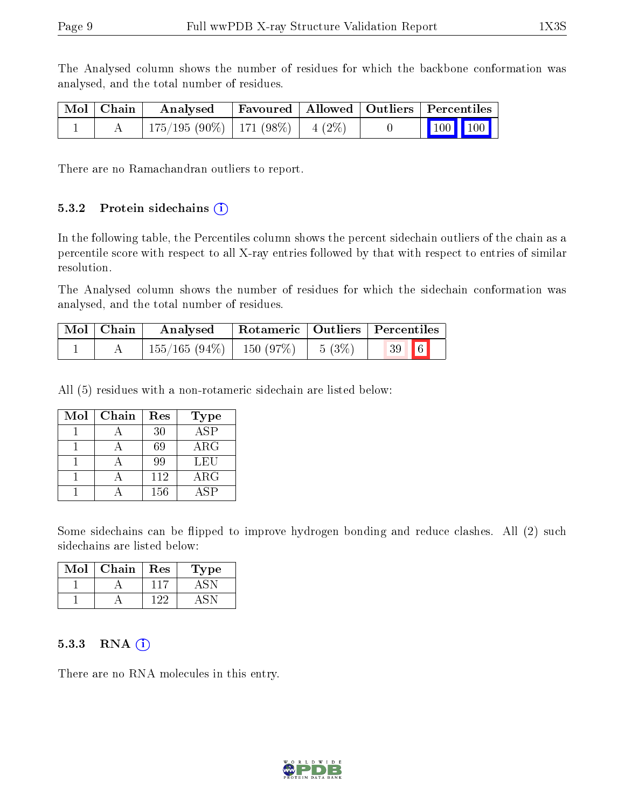The Analysed column shows the number of residues for which the backbone conformation was analysed, and the total number of residues.

| Mol   Chain | Analysed                                |  | Favoured   Allowed   Outliers   Percentiles |
|-------------|-----------------------------------------|--|---------------------------------------------|
|             | $175/195 (90\%)$   171 (98\%)   4 (2\%) |  | 100 100                                     |

There are no Ramachandran outliers to report.

#### 5.3.2 Protein sidechains  $(i)$

In the following table, the Percentiles column shows the percent sidechain outliers of the chain as a percentile score with respect to all X-ray entries followed by that with respect to entries of similar resolution.

The Analysed column shows the number of residues for which the sidechain conformation was analysed, and the total number of residues.

| $\mid$ Mol $\mid$ Chain | Analysed                      |          | Rotameric   Outliers   Percentiles |  |
|-------------------------|-------------------------------|----------|------------------------------------|--|
|                         | $155/165 (94\%)$   150 (97\%) | $5(3\%)$ | 6 <br>$-39$                        |  |

All (5) residues with a non-rotameric sidechain are listed below:

| Mol | Chain | Res | <b>Type</b>             |
|-----|-------|-----|-------------------------|
|     |       | 30  | $\overline{\text{ASP}}$ |
|     |       | 69  | ${\rm ARG}$             |
|     |       | 99  | LEU                     |
|     |       | 112 | $\rm{ARG}$              |
|     |       | 156 | A SP                    |

Some sidechains can be flipped to improve hydrogen bonding and reduce clashes. All (2) such sidechains are listed below:

| Mol | Chain | Res | ype |
|-----|-------|-----|-----|
|     |       |     |     |
|     |       |     |     |

#### 5.3.3 RNA (i)

There are no RNA molecules in this entry.

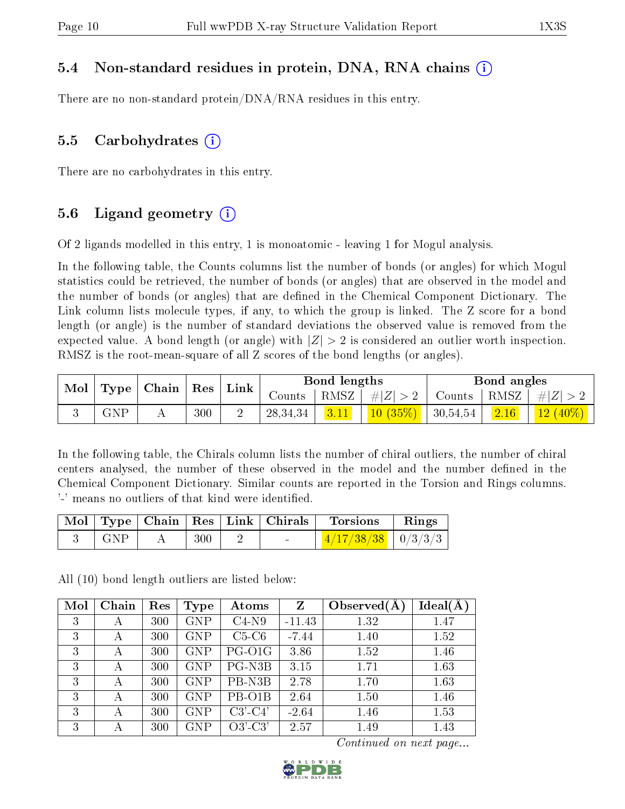### 5.4 Non-standard residues in protein, DNA, RNA chains (i)

There are no non-standard protein/DNA/RNA residues in this entry.

### 5.5 Carbohydrates  $(i)$

There are no carbohydrates in this entry.

### 5.6 Ligand geometry  $(i)$

Of 2 ligands modelled in this entry, 1 is monoatomic - leaving 1 for Mogul analysis.

In the following table, the Counts columns list the number of bonds (or angles) for which Mogul statistics could be retrieved, the number of bonds (or angles) that are observed in the model and the number of bonds (or angles) that are dened in the Chemical Component Dictionary. The Link column lists molecule types, if any, to which the group is linked. The Z score for a bond length (or angle) is the number of standard deviations the observed value is removed from the expected value. A bond length (or angle) with  $|Z| > 2$  is considered an outlier worth inspection. RMSZ is the root-mean-square of all Z scores of the bond lengths (or angles).

| Mol<br>Type |            | Chain   Res |     |   |            | Link |         | Bond lengths        |                       |            | Bond angles |  |
|-------------|------------|-------------|-----|---|------------|------|---------|---------------------|-----------------------|------------|-------------|--|
|             |            |             |     |   | ∪ounts –   | RMSZ | $\# Z $ | Counts              | $+$ RMSZ <sub>+</sub> | $\# Z $    |             |  |
|             | <b>GNP</b> |             | 300 | - | 28, 34, 34 | 3.11 | 10(35%) | $^{\circ}$ 30,54,54 | 2.16                  | $12(40\%)$ |             |  |

In the following table, the Chirals column lists the number of chiral outliers, the number of chiral centers analysed, the number of these observed in the model and the number defined in the Chemical Component Dictionary. Similar counts are reported in the Torsion and Rings columns. '-' means no outliers of that kind were identified.

|            |     | Mol   Type   Chain   Res   Link   Chirals | <sup>1</sup> Torsions  | $\mathbf{Rings}$ |
|------------|-----|-------------------------------------------|------------------------|------------------|
| $\mid$ GNP | 300 |                                           | $1/17/38/38$   0/3/3/3 |                  |

All (10) bond length outliers are listed below:

| Mol | Chain | Res | <b>Type</b> | Atoms     | Z        | Observed $(A$ | Ideal(A) |
|-----|-------|-----|-------------|-----------|----------|---------------|----------|
| 3   | А     | 300 | <b>GNP</b>  | $C4-N9$   | $-11.43$ | 1.32          | 1.47     |
| 3   | А     | 300 | <b>GNP</b>  | $C5-C6$   | $-7.44$  | 1.40          | 1.52     |
| 3   | А     | 300 | <b>GNP</b>  | PG-O1G    | 3.86     | 1.52          | 1.46     |
| 3   | А     | 300 | <b>GNP</b>  | PG-N3B    | 3.15     | 1.71          | 1.63     |
| 3   | А     | 300 | <b>GNP</b>  | PB-N3B    | 2.78     | 1.70          | 1.63     |
| 3   | A     | 300 | <b>GNP</b>  | PB-O1B    | 2.64     | 1.50          | 1.46     |
| 3   | А     | 300 | <b>GNP</b>  | $C3'-C4'$ | $-2.64$  | 1.46          | 1.53     |
| 3   | А     | 300 | <b>GNP</b>  | $O3'-C3'$ | 2.57     | 1.49          | 1.43     |

Continued on next page...

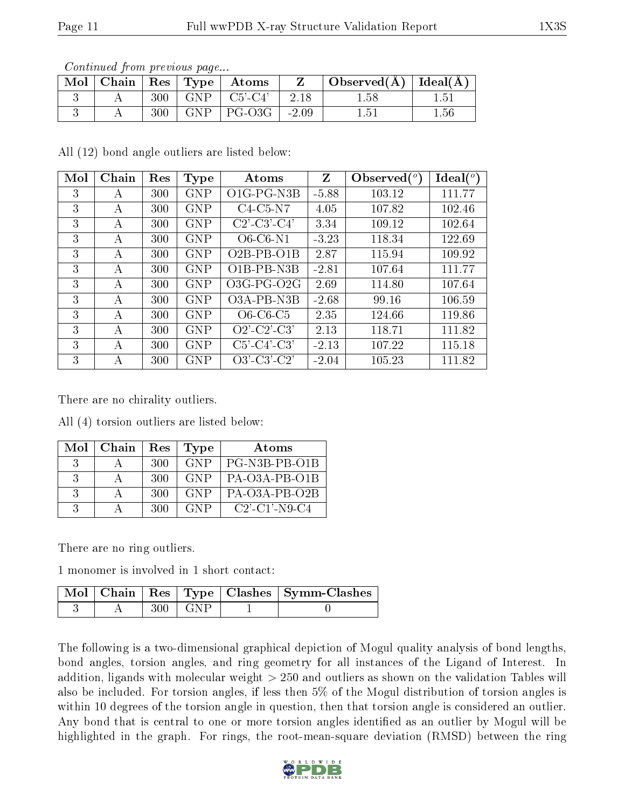| contribution provided puge |     |  |                                                                                      |      |                                                  |          |  |  |  |  |
|----------------------------|-----|--|--------------------------------------------------------------------------------------|------|--------------------------------------------------|----------|--|--|--|--|
|                            |     |  | $\parallel$ Mol $\parallel$ Chain $\parallel$ Res $\parallel$ Type $\parallel$ Atoms |      | $\vert$ Observed( $\AA$ ) $\vert$ Ideal( $\AA$ ) |          |  |  |  |  |
|                            |     |  | $300$   GNP   C5'-C4'                                                                | 2.18 | $1.58\,$                                         |          |  |  |  |  |
|                            | 300 |  | $\Gamma$ GNP   PG-O3G   -2.09                                                        |      | $1.51\,$                                         | $1.56\,$ |  |  |  |  |

Continued from previous page...

All (12) bond angle outliers are listed below:

| Mol | Chain | Res | <b>Type</b> | Atoms                                | Z       | Observed $\binom{o}{c}$ | $\text{Ideal}({}^o)$ |
|-----|-------|-----|-------------|--------------------------------------|---------|-------------------------|----------------------|
| 3   | А     | 300 | <b>GNP</b>  | O <sub>1</sub> G-PG-N <sub>3</sub> B | $-5.88$ | 103.12                  | 111.77               |
| 3   | А     | 300 | <b>GNP</b>  | $C4-C5-N7$                           | 4.05    | 107.82                  | 102.46               |
| 3   | А     | 300 | <b>GNP</b>  | $C2'$ -C3'-C4'                       | 3.34    | 109.12                  | 102.64               |
| 3   | А     | 300 | <b>GNP</b>  | $O6$ - $C6$ - $N1$                   | $-3.23$ | 118.34                  | 122.69               |
| 3   | А     | 300 | <b>GNP</b>  | $O2B$ -PB- $O1B$                     | 2.87    | 115.94                  | 109.92               |
| 3   | A     | 300 | <b>GNP</b>  | $O1B$ -PB-N3B                        | $-2.81$ | 107.64                  | 111.77               |
| 3   | А     | 300 | <b>GNP</b>  | $O3G$ -PG- $O2G$                     | 2.69    | 114.80                  | 107.64               |
| 3   | А     | 300 | <b>GNP</b>  | $O3A-PB-NSB$                         | $-2.68$ | 99.16                   | 106.59               |
| 3   | А     | 300 | <b>GNP</b>  | $O6$ - $C6$ - $C5$                   | 2.35    | 124.66                  | 119.86               |
| 3   | А     | 300 | <b>GNP</b>  | $Q2$ - $C2$ - $C3$                   | 2.13    | 118.71                  | 111.82               |
| 3   | А     | 300 | <b>GNP</b>  | $C5'-C4'-C3'$                        | $-2.13$ | 107.22                  | 115.18               |
| 3   | А     | 300 | <b>GNP</b>  | $O3'$ -C3'-C2'                       | $-2.04$ | 105.23                  | 111.82               |

There are no chirality outliers.

All (4) torsion outliers are listed below:

| Mol           | Chain | Res | <b>Type</b> | Atoms            |
|---------------|-------|-----|-------------|------------------|
| $\mathcal{R}$ |       | 300 | <b>GNP</b>  | PG-N3B-PB-O1B    |
| $\mathcal{R}$ |       | 300 | <b>GNP</b>  | $PA-O3A-PB-O1B$  |
| 3             |       | 300 | <b>GNP</b>  | PA-O3A-PB-O2B    |
|               |       | 300 | GNP         | $C2'$ -C1'-N9-C4 |

There are no ring outliers.

1 monomer is involved in 1 short contact:

|  |               | Mol   Chain   Res   Type   Clashes   Symm-Clashes |
|--|---------------|---------------------------------------------------|
|  | $300 \pm GNP$ |                                                   |

The following is a two-dimensional graphical depiction of Mogul quality analysis of bond lengths, bond angles, torsion angles, and ring geometry for all instances of the Ligand of Interest. In addition, ligands with molecular weight > 250 and outliers as shown on the validation Tables will also be included. For torsion angles, if less then 5% of the Mogul distribution of torsion angles is within 10 degrees of the torsion angle in question, then that torsion angle is considered an outlier. Any bond that is central to one or more torsion angles identified as an outlier by Mogul will be highlighted in the graph. For rings, the root-mean-square deviation (RMSD) between the ring

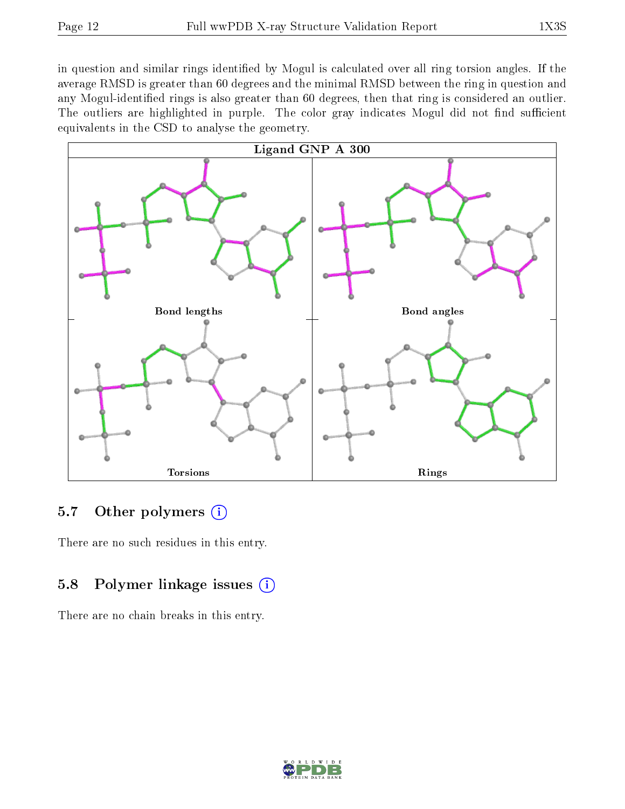in question and similar rings identified by Mogul is calculated over all ring torsion angles. If the average RMSD is greater than 60 degrees and the minimal RMSD between the ring in question and any Mogul-identified rings is also greater than 60 degrees, then that ring is considered an outlier. The outliers are highlighted in purple. The color gray indicates Mogul did not find sufficient equivalents in the CSD to analyse the geometry.



#### 5.7 [O](https://www.wwpdb.org/validation/2017/XrayValidationReportHelp#nonstandard_residues_and_ligands)ther polymers  $(i)$

There are no such residues in this entry.

### 5.8 Polymer linkage issues  $(i)$

There are no chain breaks in this entry.

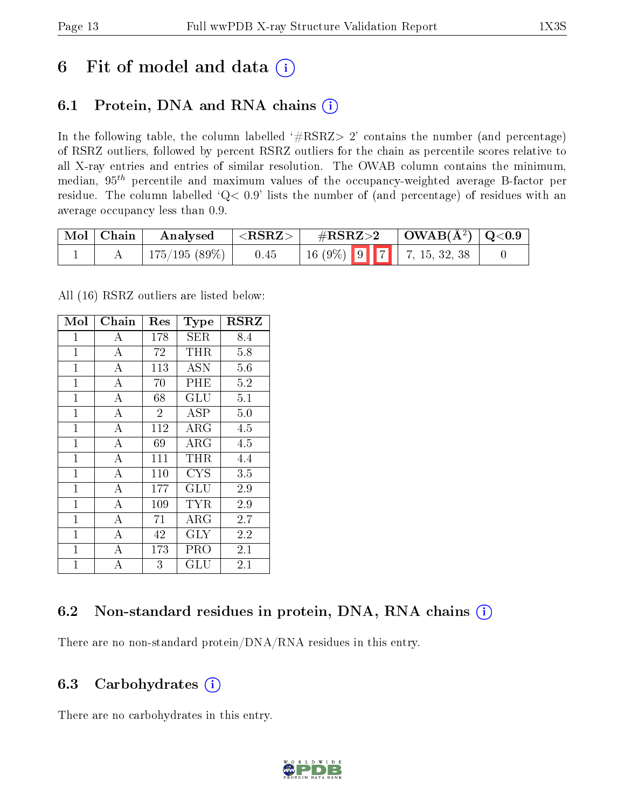## 6 Fit of model and data  $(i)$

## 6.1 Protein, DNA and RNA chains  $(i)$

In the following table, the column labelled  $#RSRZ> 2'$  contains the number (and percentage) of RSRZ outliers, followed by percent RSRZ outliers for the chain as percentile scores relative to all X-ray entries and entries of similar resolution. The OWAB column contains the minimum, median,  $95<sup>th</sup>$  percentile and maximum values of the occupancy-weighted average B-factor per residue. The column labelled ' $Q< 0.9$ ' lists the number of (and percentage) of residues with an average occupancy less than 0.9.

| Mol   Chain | Analysed     | $\mathbf{R}^{\prime}<\mathbf{RSRZ}>+1$ | $\rm \#RSRZ{>}2$ |  | $\vert$ OWAB(Å <sup>2</sup> ) $\vert$ Q<0.9                                                              |  |
|-------------|--------------|----------------------------------------|------------------|--|----------------------------------------------------------------------------------------------------------|--|
|             | 175/195(89%) | 0.45                                   |                  |  | $\begin{array}{ c c c c c c c c c } \hline 1 & 16 & 9\% & 9 & 7 & 7 & 15 & 32 & 38 \ \hline \end{array}$ |  |

All (16) RSRZ outliers are listed below:

| Mol            | ${\rm Chain}$      | Res            | <b>Type</b>          | $_{\rm RSRZ}$    |
|----------------|--------------------|----------------|----------------------|------------------|
| $\mathbf{1}$   | А                  | 178            | SER                  | 8.4              |
| $\mathbf 1$    | $\boldsymbol{A}$   | 72             | THR                  | 5.8              |
| $\overline{1}$ | $\overline{A}$     | 113            | <b>ASN</b>           | 5.6              |
| $\mathbf{1}$   | $\bf{A}$           | 70             | PHE                  | 5.2              |
| $\mathbf{1}$   | $\overline{\rm A}$ | 68             | GLU                  | $\overline{5.1}$ |
| $\overline{1}$ | А                  | $\overline{2}$ | ASP                  | 5.0              |
| $\mathbf{1}$   | $\overline{A}$     | 112            | ${\rm ARG}$          | 4.5              |
| $\mathbf 1$    | $\boldsymbol{A}$   | 69             | $\rm{ARG}$           | 4.5              |
| $\mathbf{1}$   | $\bf{A}$           | 111            | THR                  | 4.4              |
| $\mathbf{1}$   | $\overline{A}$     | 110            | <b>CYS</b>           | 3.5              |
| $\overline{1}$ | $\overline{A}$     | 177            | $\operatorname{GLU}$ | 2.9              |
| $\overline{1}$ | А                  | 109            | <b>TYR</b>           | 2.9              |
| $\overline{1}$ | А                  | 71             | ${\rm ARG}$          | 2.7              |
| $\mathbf{1}$   | $\overline{A}$     | 42             | <b>GLY</b>           | 2.2              |
| $\mathbf{1}$   | A                  | 173            | PRO                  | 2.1              |
| $\mathbf{1}$   | $\overline{A}$     | 3              | $\operatorname{GLU}$ | 2.1              |

### 6.2 Non-standard residues in protein, DNA, RNA chains  $(i)$

There are no non-standard protein/DNA/RNA residues in this entry.

#### 6.3 Carbohydrates (i)

There are no carbohydrates in this entry.